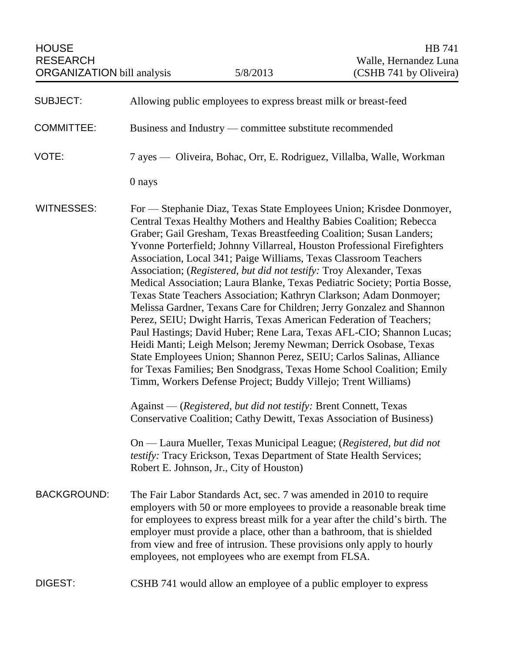| <b>SUBJECT:</b>    | Allowing public employees to express breast milk or breast-feed                                                                                                                                                                                                                                                                                                                                                                                                                                                                                                                                                                                                                                                                                                                                                                                                                                                                                                                                                                                                                                            |
|--------------------|------------------------------------------------------------------------------------------------------------------------------------------------------------------------------------------------------------------------------------------------------------------------------------------------------------------------------------------------------------------------------------------------------------------------------------------------------------------------------------------------------------------------------------------------------------------------------------------------------------------------------------------------------------------------------------------------------------------------------------------------------------------------------------------------------------------------------------------------------------------------------------------------------------------------------------------------------------------------------------------------------------------------------------------------------------------------------------------------------------|
| <b>COMMITTEE:</b>  | Business and Industry — committee substitute recommended                                                                                                                                                                                                                                                                                                                                                                                                                                                                                                                                                                                                                                                                                                                                                                                                                                                                                                                                                                                                                                                   |
| VOTE:              | 7 ayes — Oliveira, Bohac, Orr, E. Rodriguez, Villalba, Walle, Workman                                                                                                                                                                                                                                                                                                                                                                                                                                                                                                                                                                                                                                                                                                                                                                                                                                                                                                                                                                                                                                      |
|                    | 0 nays                                                                                                                                                                                                                                                                                                                                                                                                                                                                                                                                                                                                                                                                                                                                                                                                                                                                                                                                                                                                                                                                                                     |
| <b>WITNESSES:</b>  | For — Stephanie Diaz, Texas State Employees Union; Krisdee Donmoyer,<br>Central Texas Healthy Mothers and Healthy Babies Coalition; Rebecca<br>Graber; Gail Gresham, Texas Breastfeeding Coalition; Susan Landers;<br>Yvonne Porterfield; Johnny Villarreal, Houston Professional Firefighters<br>Association, Local 341; Paige Williams, Texas Classroom Teachers<br>Association; (Registered, but did not testify: Troy Alexander, Texas<br>Medical Association; Laura Blanke, Texas Pediatric Society; Portia Bosse,<br>Texas State Teachers Association; Kathryn Clarkson; Adam Donmoyer;<br>Melissa Gardner, Texans Care for Children; Jerry Gonzalez and Shannon<br>Perez, SEIU; Dwight Harris, Texas American Federation of Teachers;<br>Paul Hastings; David Huber; Rene Lara, Texas AFL-CIO; Shannon Lucas;<br>Heidi Manti; Leigh Melson; Jeremy Newman; Derrick Osobase, Texas<br>State Employees Union; Shannon Perez, SEIU; Carlos Salinas, Alliance<br>for Texas Families; Ben Snodgrass, Texas Home School Coalition; Emily<br>Timm, Workers Defense Project; Buddy Villejo; Trent Williams) |
|                    | Against — (Registered, but did not testify: Brent Connett, Texas<br>Conservative Coalition; Cathy Dewitt, Texas Association of Business)                                                                                                                                                                                                                                                                                                                                                                                                                                                                                                                                                                                                                                                                                                                                                                                                                                                                                                                                                                   |
|                    | On — Laura Mueller, Texas Municipal League; (Registered, but did not<br>testify: Tracy Erickson, Texas Department of State Health Services;<br>Robert E. Johnson, Jr., City of Houston)                                                                                                                                                                                                                                                                                                                                                                                                                                                                                                                                                                                                                                                                                                                                                                                                                                                                                                                    |
| <b>BACKGROUND:</b> | The Fair Labor Standards Act, sec. 7 was amended in 2010 to require<br>employers with 50 or more employees to provide a reasonable break time<br>for employees to express breast milk for a year after the child's birth. The<br>employer must provide a place, other than a bathroom, that is shielded<br>from view and free of intrusion. These provisions only apply to hourly<br>employees, not employees who are exempt from FLSA.                                                                                                                                                                                                                                                                                                                                                                                                                                                                                                                                                                                                                                                                    |
| DIGEST:            | CSHB 741 would allow an employee of a public employer to express                                                                                                                                                                                                                                                                                                                                                                                                                                                                                                                                                                                                                                                                                                                                                                                                                                                                                                                                                                                                                                           |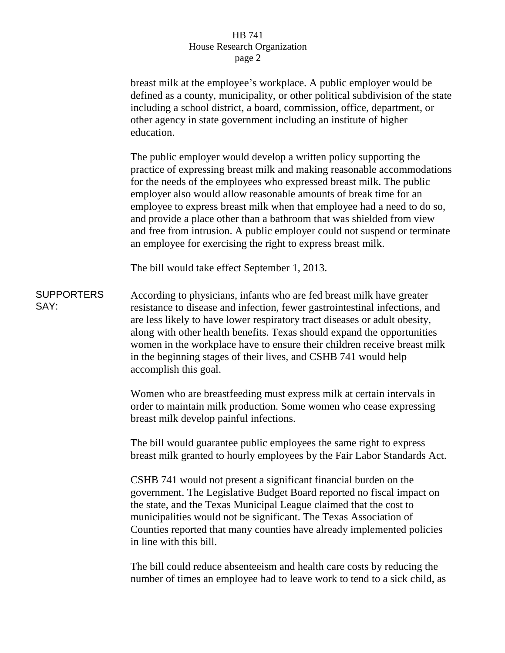## HB 741 House Research Organization page 2

|                           | breast milk at the employee's workplace. A public employer would be<br>defined as a county, municipality, or other political subdivision of the state<br>including a school district, a board, commission, office, department, or<br>other agency in state government including an institute of higher<br>education.                                                                                                                                                                                                                                                                       |
|---------------------------|--------------------------------------------------------------------------------------------------------------------------------------------------------------------------------------------------------------------------------------------------------------------------------------------------------------------------------------------------------------------------------------------------------------------------------------------------------------------------------------------------------------------------------------------------------------------------------------------|
|                           | The public employer would develop a written policy supporting the<br>practice of expressing breast milk and making reasonable accommodations<br>for the needs of the employees who expressed breast milk. The public<br>employer also would allow reasonable amounts of break time for an<br>employee to express breast milk when that employee had a need to do so,<br>and provide a place other than a bathroom that was shielded from view<br>and free from intrusion. A public employer could not suspend or terminate<br>an employee for exercising the right to express breast milk. |
|                           | The bill would take effect September 1, 2013.                                                                                                                                                                                                                                                                                                                                                                                                                                                                                                                                              |
| <b>SUPPORTERS</b><br>SAY: | According to physicians, infants who are fed breast milk have greater<br>resistance to disease and infection, fewer gastrointestinal infections, and<br>are less likely to have lower respiratory tract diseases or adult obesity,<br>along with other health benefits. Texas should expand the opportunities<br>women in the workplace have to ensure their children receive breast milk<br>in the beginning stages of their lives, and CSHB 741 would help<br>accomplish this goal.                                                                                                      |
|                           | Women who are breastfeeding must express milk at certain intervals in<br>order to maintain milk production. Some women who cease expressing<br>breast milk develop painful infections.                                                                                                                                                                                                                                                                                                                                                                                                     |
|                           | The bill would guarantee public employees the same right to express<br>breast milk granted to hourly employees by the Fair Labor Standards Act.                                                                                                                                                                                                                                                                                                                                                                                                                                            |
|                           | CSHB 741 would not present a significant financial burden on the<br>government. The Legislative Budget Board reported no fiscal impact on<br>the state, and the Texas Municipal League claimed that the cost to<br>municipalities would not be significant. The Texas Association of<br>Counties reported that many counties have already implemented policies<br>in line with this bill.                                                                                                                                                                                                  |
|                           |                                                                                                                                                                                                                                                                                                                                                                                                                                                                                                                                                                                            |

The bill could reduce absenteeism and health care costs by reducing the number of times an employee had to leave work to tend to a sick child, as